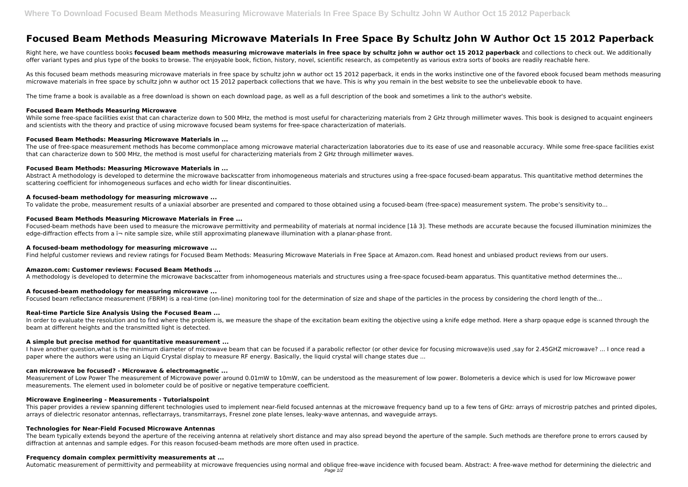# **Focused Beam Methods Measuring Microwave Materials In Free Space By Schultz John W Author Oct 15 2012 Paperback**

Right here, we have countless books focused beam methods measuring microwave materials in free space by schultz john w author oct 15 2012 paperback and collections to check out. We additionally offer variant types and plus type of the books to browse. The enjoyable book, fiction, history, novel, scientific research, as competently as various extra sorts of books are readily reachable here.

As this focused beam methods measuring microwave materials in free space by schultz john w author oct 15 2012 paperback, it ends in the works instinctive one of the favored ebook focused beam methods measuring microwave materials in free space by schultz john w author oct 15 2012 paperback collections that we have. This is why you remain in the best website to see the unbelievable ebook to have.

While some free-space facilities exist that can characterize down to 500 MHz, the method is most useful for characterizing materials from 2 GHz through millimeter waves. This book is designed to acquaint engineers and scientists with the theory and practice of using microwave focused beam systems for free-space characterization of materials.

The use of free-space measurement methods has become commonplace among microwave material characterization laboratories due to its ease of use and reasonable accuracy. While some free-space facilities exist that can characterize down to 500 MHz, the method is most useful for characterizing materials from 2 GHz through millimeter waves.

The time frame a book is available as a free download is shown on each download page, as well as a full description of the book and sometimes a link to the author's website.

Abstract A methodology is developed to determine the microwave backscatter from inhomogeneous materials and structures using a free-space focused-beam apparatus. This quantitative method determines the scattering coefficient for inhomogeneous surfaces and echo width for linear discontinuities.

# **Focused Beam Methods Measuring Microwave**

Focused-beam methods have been used to measure the microwave permittivity and permeability of materials at normal incidence [1â 3]. These methods are accurate because the focused illumination minimizes the edge-diffraction effects from a  $\ddot{\text{}}$  nite sample size, while still approximating planewave illumination with a planar-phase front.

## **Focused Beam Methods: Measuring Microwave Materials in ...**

## **Focused Beam Methods: Measuring Microwave Materials in ...**

In order to evaluate the resolution and to find where the problem is, we measure the shape of the excitation beam exiting the objective using a knife edge method. Here a sharp opaque edge is scanned through the beam at different heights and the transmitted light is detected.

I have another question,what is the minimum diameter of microwave beam that can be focused if a parabolic reflector (or other device for focusing microwave)is used ,say for 2.45GHZ microwave? ... I once read a paper where the authors were using an Liquid Crystal display to measure RF energy. Basically, the liquid crystal will change states due ...

## **A focused‐beam methodology for measuring microwave ...**

To validate the probe, measurement results of a uniaxial absorber are presented and compared to those obtained using a focused-beam (free-space) measurement system. The probe's sensitivity to...

## **Focused Beam Methods Measuring Microwave Materials in Free ...**

The beam typically extends beyond the aperture of the receiving antenna at relatively short distance and may also spread beyond the aperture of the sample. Such methods are therefore prone to errors caused by diffraction at antennas and sample edges. For this reason focused-beam methods are more often used in practice.

# **A focused‐beam methodology for measuring microwave ...**

Find helpful customer reviews and review ratings for Focused Beam Methods: Measuring Microwave Materials in Free Space at Amazon.com. Read honest and unbiased product reviews from our users.

# **Amazon.com: Customer reviews: Focused Beam Methods ...**

A methodology is developed to determine the microwave backscatter from inhomogeneous materials and structures using a free-space focused-beam apparatus. This quantitative method determines the...

# **A focused‐beam methodology for measuring microwave ...**

Focused beam reflectance measurement (FBRM) is a real-time (on-line) monitoring tool for the determination of size and shape of the particles in the process by considering the chord length of the...

# **Real-time Particle Size Analysis Using the Focused Beam ...**

# **A simple but precise method for quantitative measurement ...**

# **can microwave be focused? - Microwave & electromagnetic ...**

Measurement of Low Power The measurement of Microwave power around 0.01mW to 10mW, can be understood as the measurement of low power. Bolometeris a device which is used for low Microwave power measurements. The element used in bolometer could be of positive or negative temperature coefficient.

# **Microwave Engineering - Measurements - Tutorialspoint**

This paper provides a review spanning different technologies used to implement near-field focused antennas at the microwave frequency band up to a few tens of GHz: arrays of microstrip patches and printed dipoles, arrays of dielectric resonator antennas, reflectarrays, transmitarrays, Fresnel zone plate lenses, leaky-wave antennas, and waveguide arrays.

# **Technologies for Near-Field Focused Microwave Antennas**

#### **Frequency domain complex permittivity measurements at ...**

Automatic measurement of permittivity and permeability at microwave frequencies using normal and oblique free-wave incidence with focused beam. Abstract: A free-wave method for determining the dielectric and